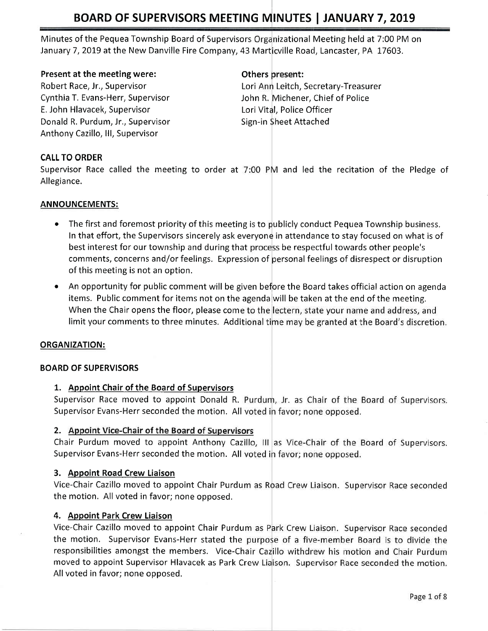# BOARD OF SUPERVISORS MEETING MINUTES | JANUARY 7, 2019

Minutes of the Pequea Township Board of Supervisors Organizational Meeting held at 7:00 PM on January 7, 2019 at the New Danville Fire Company, 43 Marticville Road, Lancaster, PA 17603.

#### Present at the meeting were:

Robert Race, Jr,, Supervisor Cynthia T, Evans-Herr, Supervisor E. John Hlavacek, Supervisor Donald R. Purdum, Jr., Supervisor Anthony Cazillo, lll, Supervisor

#### Others present:

Lori Ann Leitch, Secretary-Treasurer John R. Michener, Chief of Police Lori Vital, Police Officer Sign-in Sheet Attached

## CALL TO ORDER

Supervisor Race called the meeting to order at 7:00 PM and led the recitation of the Pledge of Allegiance.

#### ANNOUNCEMENTS:

- $\bullet$  The first and foremost priority of this meeting is to publicly conduct Pequea Township business. In that effort, the Supervisors sincerely ask everyone in attendance to stay focused on what is of best interest for our township and during that process be respectful towards other people's comments, concerns and/or feelings. Expression of personal feelings of disrespect or disruption of this meeting is not an option.
- An opportunity for public comment will be given before the Board takes official action on agenda items. Public comment for items not on the agenda will be taken at the end of the meeting. When the Chair opens the floor, please come to the lectern, state your name and address, and limit your comments to three minutes. Additional time may be granted at the Board's discretion.

#### ORGANIZATION:

#### BOARD OF SUPERVISORS

#### 1. Appoint Chair of the Board of Supervisors

Supervisor Race moved to appoint Donald R. Purdum, Jr. as Chair of the Board of Supervisors. Supervisor Evans-Herr seconded the motion. All voted in favor; none opposed.

#### 2. Appoint Vice-Chair of the Board of Supervisors

Chair Purdum moved to appoint Anthony Cazillo, III as Vice-Chair of the Board of Supervisors. Supervisor Evans-Herr seconded the motion. All voted in favor; none opposed.

#### 3. Appoint Road Crew Liaison

Vice-Chair Cazillo moved to appoint Chair Purdum as Road Crew Liaison. Supervisor Race seconded the motion, All voted in favor; none opposed,

#### 4. Appoint Park Crew Liaison

Vice-Chair Cazillo moved to appoint Chair Purdum as Park Crew Liaison. Supervisor Race seconded the motion. Supervisor Evans-Herr stated the purpose of a five-member Board is to divide the responsibilities amongst the members. Vice-Chair Cazillo withdrew his motion and Chair Purdum moved to appoint Supervisor Hlavacek as Park Crew Liaison. Supervisor Race seconded the motion. All voted in favor; none opposed.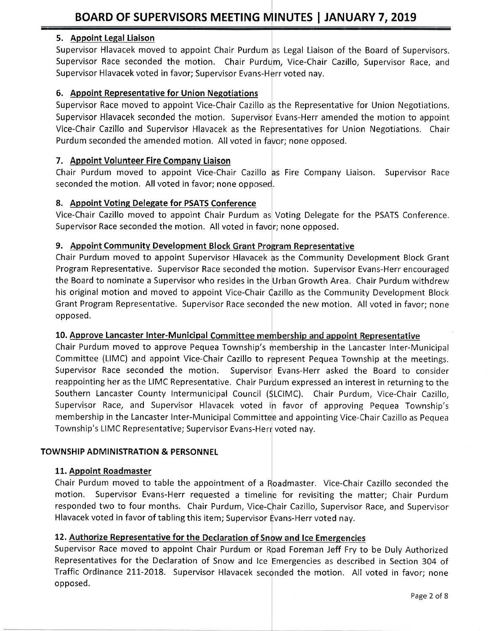# 5. Appoint Legal Liaison

Supervisor Hlavacek moved to appoint Chair Purdum as Legal Liaison of the Board of Supervisors Supervisor Race seconded the motion. Chair Purdum, Vice-Chair Cazillo, Supervisor Race, and Supervisor Hlavacek voted in favor; Supervisor Evans-Herr voted nay.

# 6. Appoint Representative for Union Negotiations

Supervisor Race moved to appoint Vice-Chair Cazillo as the Representative for Union Negotiations Supervisor Hlavacek seconded the motion. Supervisor Evans-Herr amended the motion to appoint Vice-Chair Cazillo and Supervisor Hlavacek as the Representatives for Union Negotiations. Chair Purdum seconded the amended motion. All voted in favor; none opposed.

# 7. Appoint Volunteer Fire Companv Liaison

Chair Purdum moved to appoint Vice-Chair Cazillo as Fire Company Liaison. Supervisor Race seconded the motion. All voted in favor; none opposed.

# 8. Appoint Voting Delegate for PSATS Conference

Vice-Chair Cazillo moved to appoint Chair Purdum as Voting Delegate for the PSATS Conference. Supervisor Race seconded the motion. All voted in favor; none opposed.

# 9. Appoint Community Development Bl

Chair Purdum moved to appoint Supervisor Hlavacek as the Community Development Block Grant Program Representative. Supervisor Race seconded the motion. Supervisor Evans-Herr encouraged the Board to nominate a Supervisor who resides in the Urban Growth Area. Chair Purdum withdrew his original motion and moved to appoint Vice-Chair Cazillo as the Community Development Block Grant Program Representative. Supervisor Race seconded the new motion. All voted in favor; none opposed,

# 10. Approve Lancaster Inter-Municipal Committee membership and appoint Representative

Southern Lancaster County Intermunicipal Council (SLCIMC). Chair Purdum, Vice-Chair Cazillo, Supervisor Race, and Supervisor Hlavacek voted in favor of approving Pequea Township's membership in the Lancaster Inter-Municipal Committee and appointing Vice-Chair Cazillo as Pequea Township's LIMC Representative; Supervisor Evans-Herr voted nay. Chair Purdum moved to approve Pequea Township's membership in the Lancaster Inter-Municipa Committee (LIMC) and appoint Vice-Chair Cazillo to resent Pequea Township at the meetings. Supervisor Race seconded the motion. reappointing her as the LIMC Representative. Chair Purdum expressed an interest in returning to the Supervisor Evans-Herr asked the Board to consider

# TOWNSHIP ADMINISTRATION & PERSONNEL

# 11. Appoint Roadmaster

Chair Purdum moved to table the appointment of a Roadmaster. Vice-Chair Cazillo seconded the motion. Supervisor Evans-Herr requested a timeline for revisiting the matter; Chair Purdum responded two to four months. Chair Purdum, Vice-Chair Cazillo, Supervisor Race, and Supervisor Hlavacek voted in favor of tabling this item; Supervisor Evans-Herr voted nay.

# 12. <u>Authorize Representative for the</u>

Representatives for the Declaration of Snow and Ice Emergencies as described in Section 304 of Traffic Ordinance 211-2018. Supervisor Hlavacek seconded the motion. All voted in favor; none opposed. Supervisor Race moved to appoint Chair Purdum or Road Foreman Jeff Fry to be Duly Authorized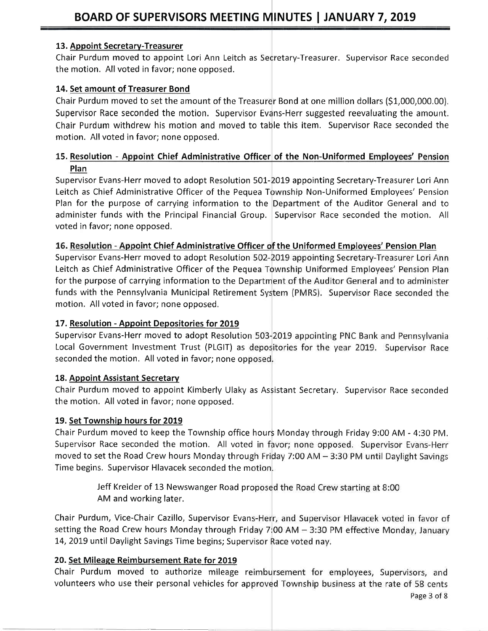# 13. Appoint Secretary-Treasurer

Chair Purdum moved to appoint Lori Ann Leitch as Secretary-Treasurer. Supervisor Race seconded the motion. All voted in favor; none opposed.

# 14. Set amount of Treasurer Bond

Chair Purdum moved to set the amount of the Treasurer Bond at one million dollars (\$1,000,000.00). Supervisor Race seconded the motion. Supervisor Evans-Herr suggested reevaluating the amount. Chair Purdum withdrew his motion and moved to table this item. Supervisor Race seconded the motion. All voted in favor; none opposed.

# 15. Resolution - Appoint Chief Administrative Officer of the Non-Uniformed Employees' Pension Plan

Supervisor Evans-Herr moved to adopt Resolution 501-2019 appointing Secretary-Treasurer Lori Ann Leitch as Chief Administrative Officer of the Pequea Township Non-Uniformed Employees' Pension Plan for the purpose of carrying information to the Department of the Auditor General and to administer funds with the Principal Financial Group, Supervisor Race seconded the motion. All voted in favor; none opposed,

# 16. Resolution - Appoint Chief Administrative Officer of the Uniformed Employees' Pension Plan

Supervisor Evans-Herr moved to adopt Resolution 502-2019 appointing Secretary-Treasurer Lori Ann Leitch as Chief Administrative Officer of the Pequea Township Uniformed Employees' Pension Plan for the purpose of carrying information to the Department of the Auditor General and to administer funds with the Pennsylvania Municipal Retirement System (PMRS). Supervisor Race seconded the motion, All voted in favor; none opposed,

# 17. Resolution - Appoint Depositories for 2019

Supervisor Evans-Herr moved to adopt Resolution 503-2019 appointing PNC Bank and Pennsylvania Local Government Investment Trust (PLGIT) as depositories for the year 2019. Supervisor Race seconded the motion. All voted in favor; none opposed.

# 18. Appoint Assistant Secretarv

Chair Purdum moved to appoint Kimberly Ulaky as Asgistant Secretary. Supervisor Race seconded the motion, All voted in favor; none opposed.

# 19. Set Township hours for 2019

Chair Purdum moved to keep the Township office hours Monday through Friday 9:00 AM - 4:30 PM. Supervisor Race seconded the motion. All voted in favor; none opposed. Supervisor Evans-Herr moved to set the Road Crew hours Monday through Friday 7:00 AM - 3:30 PM until Daylight Savings Time begins. Supervisor Hlavacek seconded the m

> Jeff Kreider of 13 Newswanger Road proposed the Road Crew starting at 8:00 AM and working later.

Chair Purdum, Vice-Chair Cazillo, Supervisor Evans-Herr, and Supervisor Hlavacek voted in favor of setting the Road Crew hours Monday through Friday 7:00 AM  $-$  3:30 PM effective Monday, January 14, 2019 until Daylight Savings Time begins; Supervisor Race voted nay.

# 20. Set Mileage Reimbursement Rate for 2019

Chair Purdum moved to authorize mileage reimbursement for employees, Supervisors, and volunteers who use their personal vehicles for approved Township business at the rate of 58 cents

Page 3 of 8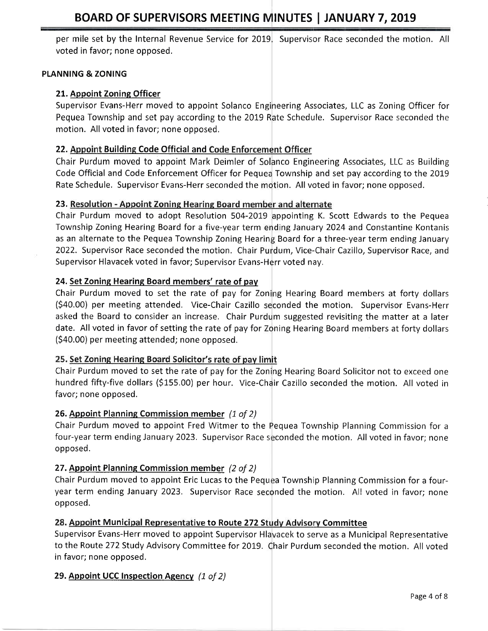per mile set by the Internal Revenue Service for 2019. Supervisor Race seconded the motion. All voted in favor; none opposed.

#### PLANNING & ZONING

# 21. Appoint Zoning Officer

Supervisor Evans-Herr moved to appoint Solanco Engineering Associates, LLC as Zoning Officer for Pequea Township and set pay according to the 2019 Rate Schedule. Supervisor Race seconded the motion. All voted in favor; none opposed,

# 22. Appoint Building Code Official and Code Enforcement Officer

Chair Purdum moved to appoint Mark Deimler of Solanco Engineering Associates, LLC as Building Code Official and Code Enforcement Officer for Pequea Township and set pay according to the 2019 Rate Schedule. Supervisor Evans-Herr seconded the motion. All voted in favor; none opposed.

## 23. Resolution - Appoint Zoning Hearing Board member and alternate

Chair Purdum moved to adopt Resolution 504-2019 appointing K. Scott Edwards to the Pequea Township Zoning Hearing Board for a five-year term ending January 2024 and Constantine Kontanis as an alternate to the Pequea Township Zoning Hearing Board for a three-year term ending January 2022. Supervisor Race seconded the motion. Chair Purdum, Vice-Chair Cazillo, Supervisor Race, and Supervisor Hlavacek voted in favor; Supervisor Evans-Herr voted nay.

## 24. Set Zoning Hearing Board members' rate of pay

Chair Purdum moved to set the rate of pay for Zoning Hearing Board members at forty dollars (\$40.00) per meeting attended. Vice-Chair Cazillo seconded the motion. Supervisor Evans-Herr asked the Board to consider an increase. Chair Purdum suggested revisiting the matter at a later date. All voted in favor of setting the rate of pay for Zoning Hearing Board members at forty dollars (540.00) per meeting attended; none opposed.

# 25. Set Zoning Hearing Board Solicitor's rate of pay limit

Chair Purdum moved to set the rate of pay for the Zoning Hearing Board Solicitor not to exceed one hundred fifty-five dollars (\$155.00) per hour. Vice-Chair Cazillo seconded the motion. All voted in favor; none opposed.

# 26. Appoint Planning Commission member (1 of 2)

Chair Purdum moved to appoint Fred Witmer to the Pequea Township Planning Commission for a four-year term ending January 2023. Supervisor Race seconded the motion. All voted in favor; none opposed.

# 27. Appoint Planning Commission member (2 of 2)

Chair Purdum moved to appoint Eric Lucas to the Pequea Township Planning Commission for a fouryear term ending January 2023. Supervisor Race seconded the motion. All voted in favor; none opposed.

# 28. Appoint Municipal Representative to Route 272 Study Advisory Committee

Supervisor Evans-Herr moved to appoint Supervisor Hlavacek to serve as a Municipal Representative to the Route 272 Study Advisory Committee for 2019. Chair Purdum seconded the motion. All votec in favor; none opposed.

# 29. Appoint UCC Inspection Agency (1 of 2)

Page 4 of 8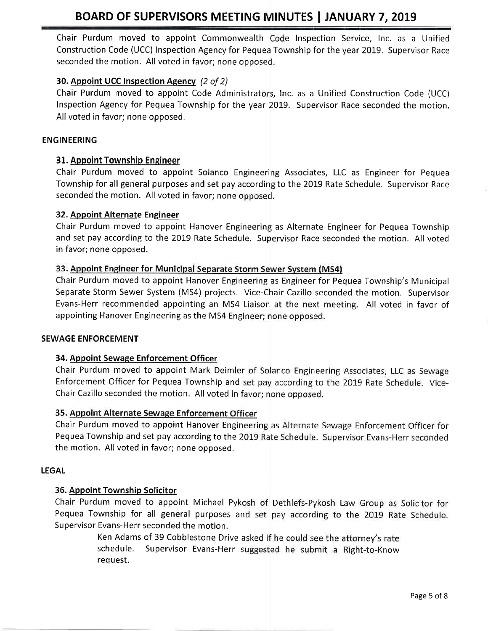# BOARD OF SUPERVISORS MEETING MINUTES | JANUARY 7, 2019

Chair Purdum moved to appoint Commonwealth Code Inspection Service, Inc. as a Unified Construction Code (UCC) Inspection Agency for Pequea Township for the year 2019, Supervisor Race seconded the motion. All voted in favor; none opposed.

# 30. Appoint UCC Inspection Agency (2 of 2)

Chair Purdum moved to appoint Code Administrators, Inc. as a Unified Construction Code (UCC) Inspection Agency for Pequea Township for the year 2019. Supervisor Race seconded the motion. All voted in favor; none opposed.

#### ENGINEERING

#### 31. Appoint Township Engineer

Chair Purdum moved to appoint Solanco Engineeri g Associates, LLC as Engineer for Pequea Township for all general purposes and set pay according to the 2019 Rate Schedule. Supervisor Race seconded the motion. All voted in favor; none opposed.

#### 32. Appoint Alternate Engineer

Chair Purdum moved to appoint Hanover Engineering as Alternate Engineer for Pequea Township and set pay according to the 2019 Rate Schedule. Supervisor Race seconded the motion. All votec in favor; none opposed.

#### 33. Appoint Engineer for Municipal Separate Storm Sewer System (MS4)

Chair Purdum moved to appoint Hanover Engineering as Engineer for Pequea Township's Municipal Separate Storm Sewer System (MS4) projects, Vice-Chair Cazillo seconded the motion. Supervisor Evans-Herr recommended appointing an MS4 Liaison at the next meeting. All voted in favor of appointing Hanover Engineering as the MS4 Engineer; none opposed.

#### SEWAGE ENFORCEMENT

#### 34. Appoint Sewage Enforcement Officer

Chair Purdum moved to appoint Mark Deimler of Solanco Engineering Associates, LLC as Sewage Enforcement Officer for Pequea Township and set pay according to the 2019 Rate Schedule. Vice-Chair Cazillo seconded the motion. All voted in f

#### 35. Appoint Alternate Sewage Enforcement Officer

Chair Purdum moved to appoint Hanover Engineering as Alternate Sewage Enforcement Officer for Pequea Township and set pay according to the 2 the motion. All voted in favor; none opposed.

#### LEGAL

#### 35. Appoint Township Solicitor

Chair Purdum moved to appoint Michael Pykosh of Dethlefs-Pykosh Law Group as Solicitor for Pequea Township for all general purposes and set pay according to the 2019 Rate Schedule. Supervisor Evans-Herr seconded the motion.

> Ken Adams of 39 Cobblestone Drive asked if he could see the attorney's rate schedule. Supervisor Evans-Herr suggested he submit a Right-to-Know request.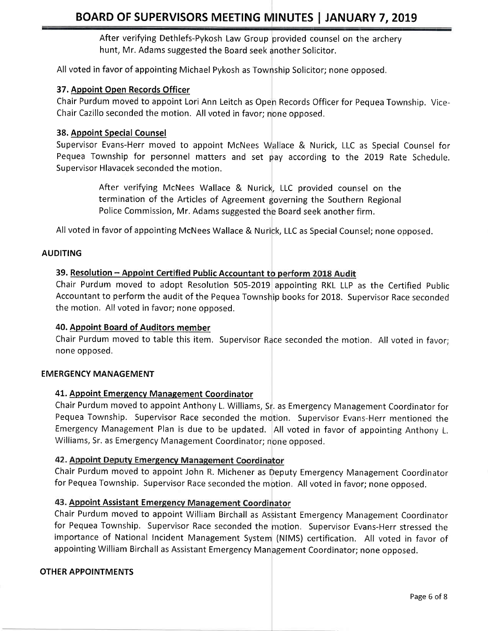After verifying Dethlefs-Pykosh Law Group provided counsel on the archery hunt, Mr. Adams suggested the Board seek another Solicitor

All voted in favor of appointing Michael Pykosh as Township Solicitor; none opposed.

## 37. Appoint Open Records Officer

Chair Purdum moved to appoint Lori Ann Leitch as Open Records Officer for Pequea Township. Vice-Chair Cazillo seconded the motion. All voted in favor; none opposed.

#### 38. Appoint Special Counsel

Supervisor Evans-Herr moved to appoint McNees Wallace & Nurick, LLC as Special Counsel for Pequea Township for personnel matters and set pay according to the 2019 Rate Schedule Supervisor Hlavacek seconded the motion.

> After verifying McNees Wallace & Nurick, LLC provided counsel on the termination of the Articles of Agreement governing the Southern Regional Police Commission, Mr. Adams suggested the Board seek another firm.

All voted in favor of appointing McNees Wallace & Nurick, LLC as Special Counsel; none opposed.

#### AUDITING

## 39. Resolution - Appoint Certified Public Accountant to perform 2018 Audit

Chair Purdum moved to adopt Resolution 505-2019 appointing RKL LLP as the Certified Public Accountant to perform the audit of the Pequea Township books for 2018. Supervisor Race seconded the motion. All voted in favor; none opposed.

#### 40. Appoint Board of Auditors member

Chair Purdum moved to table this item. Supervisor Race seconded the motion. All voted in favor; none opposed,

#### EMERGENCY MANAGEMENT

#### 41. Appoint Emergency Management Coordinator

Chair Purdum moved to appoint Anthony L. Williams, Sr. as Emergency Management Coordinator for Pequea Township. Supervisor Race seconded the motion. Supervisor Evans-Herr mentioned the Emergency Management Plan is due to be updated. All voted in favor of appointing Anthony L. Williams, Sr. as Emergency Management Coordinator; none opposed.

#### 42. Appoint Deputy Emergency Management Coordinator

Chair Purdum moved to appoint John R. Michener as Deputy Emergency Management Coordinator for Pequea Township. Supervisor Race seconded the motion. All voted in favor; none opposed.

# 43. Appoint Assistant Emergency Management Coordinator

Chair Purdum moved to appoint William Birchall as Assistant Emergency Management Coordinator for Pequea Township. Supervisor Race seconded the motion. Supervisor Evans-Herr stressed the importance of National Incident Management System (NIMS) certification. All voted in favor of appointing William Birchall as Assistant Emergency Management Coordinator; none opposed.

#### OTHER APPOINTMENTS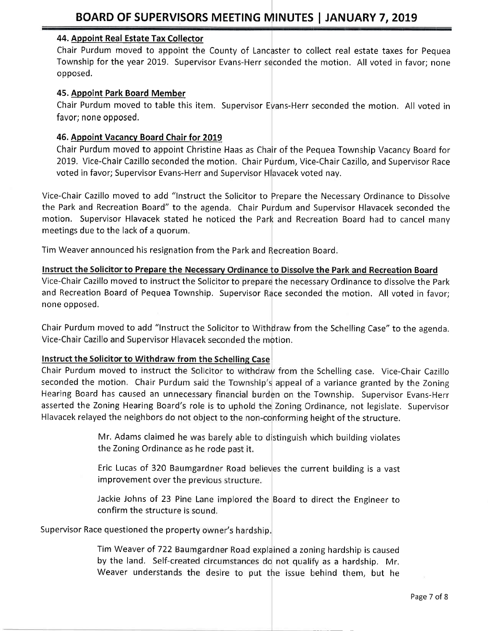## 44. Appoint Real Estate Tax Collector

Chair Purdum moved to appoint the County of Lancaster to collect real estate taxes for Pequea Township for the year 2019. Supervisor Evans-Herr seconded the motion. All voted in favor; none opposed.

#### 45. Appoint Park Board Member

Chair Purdum moved to table this item. Supervisor Evans-Herr seconded the motion. All voted in favor; none opposed.

# 45. Appoint Vacancv Board Chair for 2019

2019. Vice-Chair Cazillo seconded the motion. Chair Purdum, Vice-Chair Cazillo, and Supervisor Race voted in favor; Supervisor Evans-Herr and Supervisor Hlavacek voted nay. Chair Purdum moved to appoint Christine Haas as Chair of the Pequea Township Vacancy Board for

Vice-Chair Cazillo moved to add "Instruct the Solicitor to Prepare the Necessary Ordinance to Dissolve the Park and Recreation Board" to the agenda. Chair Purdum and Supervisor Hlavacek seconded the motion. Supervisor Hlavacek stated he noticed the Park and Recreation Board had to cancel many meetings due to the lack of a quorum.

Tim Weaver announced his resignation from the Park and Recreation Board.

to Prepare the Necessary Ordinance to Dissolve the Park and Recreation Board Vice-Chair Cazillo moved to instruct the Solicitor to prepare the necessary Ordinance to dissolve the Park and Recreation Board of Pequea Township. Supervisor Race seconded the motion. All voted in favor; none opposed,

Chair Purdum moved to add "lnstruct the Solicitor to Withdraw from the Schelling Case" to the agenda. Vice-Chair Cazillo and Supervisor Hlavacek seconded the motion.

Instruct the Solicitor to Withdraw from the Schelling Case.<br>Chair Purdum moved to instruct the Solicitor to withdraw from the Schelling case. Vice-Chair Cazillo seconded the motion. Chair Purdum said the Township's appeal of a variance granted by the Zoning Hearing Board has caused an unnecessary financial burden on the Township. Supervisor Evans-Herr asserted the Zoning Hearing Board's role is to uphold the Zoning Ordinance, not legislate. Supervisor Hlavacek relayed the neighbors do not object to the non-conforming height of the structure.

> Mr. Adams claimed he was barely able to distinguish which building violates the Zoning Ordinance as he rode past it.

> Eric Lucas of 320 Baumgardner Road believes the current building is a vast improvement over the previous structure.

> Jackie Johns of 23 Pine Lane implored the Board to direct the Engineer to confirm the structure is sound.

Supervisor Race questioned the property owner's hardship.

Tim Weaver of 722 Baumgardner Road explained a zoning hardship is caused by the land. Self-created circumstances do not qualify as a hardship. Mr. Weaver understands the desire to put the issue behind them, but he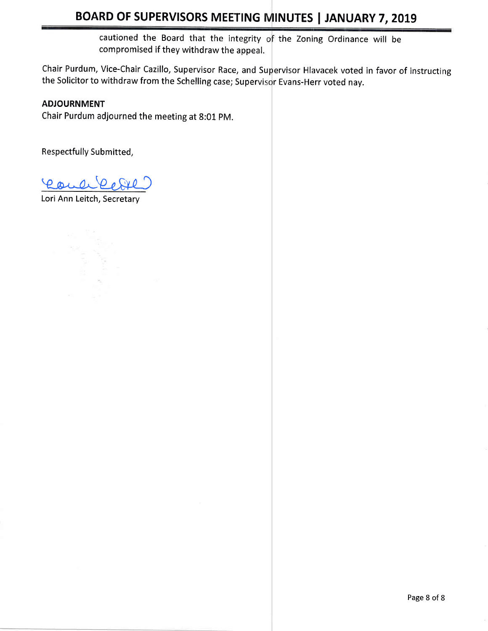# BOARD OF SUPERVISORS MEETING MINUTES | JANUARY 7, 2019

cautioned the Board that the integrity of the Zoning Ordinance will be compromised if they withdraw the appeal,

Chair Purdum, Vice-Chair Cazillo, Supervisor Race, and Supervisor Hlavacek voted in favor of instructing the Solicitor to withdraw from the Schelling case; Supervisor Evans-Herr voted nay.

# ADJOURNMENT

Chair Purdum adjourned the meeting at 8:01 pM.

Respectfully Submitted,

Eaule Pere

Lori Ann Leitch, Secretary